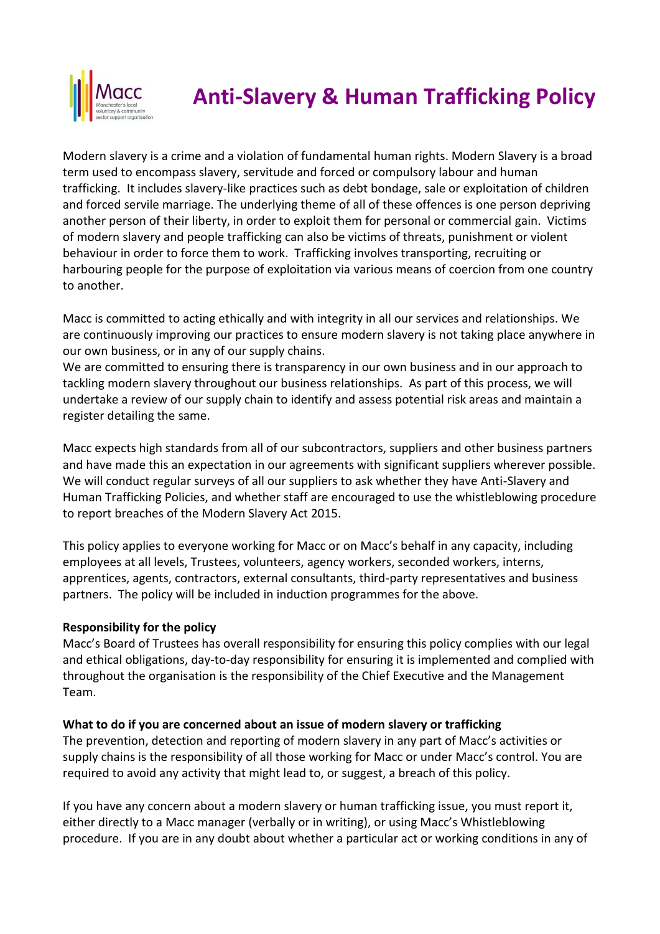

# **Anti-Slavery & Human Trafficking Policy**

Modern slavery is a crime and a violation of fundamental human rights. Modern Slavery is a broad term used to encompass slavery, servitude and forced or compulsory labour and human trafficking. It includes slavery-like practices such as debt bondage, sale or exploitation of children and forced servile marriage. The underlying theme of all of these offences is one person depriving another person of their liberty, in order to exploit them for personal or commercial gain. Victims of modern slavery and people trafficking can also be victims of threats, punishment or violent behaviour in order to force them to work. Trafficking involves transporting, recruiting or harbouring people for the purpose of exploitation via various means of coercion from one country to another.

Macc is committed to acting ethically and with integrity in all our services and relationships. We are continuously improving our practices to ensure modern slavery is not taking place anywhere in our own business, or in any of our supply chains.

We are committed to ensuring there is transparency in our own business and in our approach to tackling modern slavery throughout our business relationships. As part of this process, we will undertake a review of our supply chain to identify and assess potential risk areas and maintain a register detailing the same.

Macc expects high standards from all of our subcontractors, suppliers and other business partners and have made this an expectation in our agreements with significant suppliers wherever possible. We will conduct regular surveys of all our suppliers to ask whether they have Anti-Slavery and Human Trafficking Policies, and whether staff are encouraged to use the whistleblowing procedure to report breaches of the Modern Slavery Act 2015.

This policy applies to everyone working for Macc or on Macc's behalf in any capacity, including employees at all levels, Trustees, volunteers, agency workers, seconded workers, interns, apprentices, agents, contractors, external consultants, third-party representatives and business partners. The policy will be included in induction programmes for the above.

### **Responsibility for the policy**

Macc's Board of Trustees has overall responsibility for ensuring this policy complies with our legal and ethical obligations, day-to-day responsibility for ensuring it is implemented and complied with throughout the organisation is the responsibility of the Chief Executive and the Management Team.

### **What to do if you are concerned about an issue of modern slavery or trafficking**

The prevention, detection and reporting of modern slavery in any part of Macc's activities or supply chains is the responsibility of all those working for Macc or under Macc's control. You are required to avoid any activity that might lead to, or suggest, a breach of this policy.

If you have any concern about a modern slavery or human trafficking issue, you must report it, either directly to a Macc manager (verbally or in writing), or using Macc's Whistleblowing procedure. If you are in any doubt about whether a particular act or working conditions in any of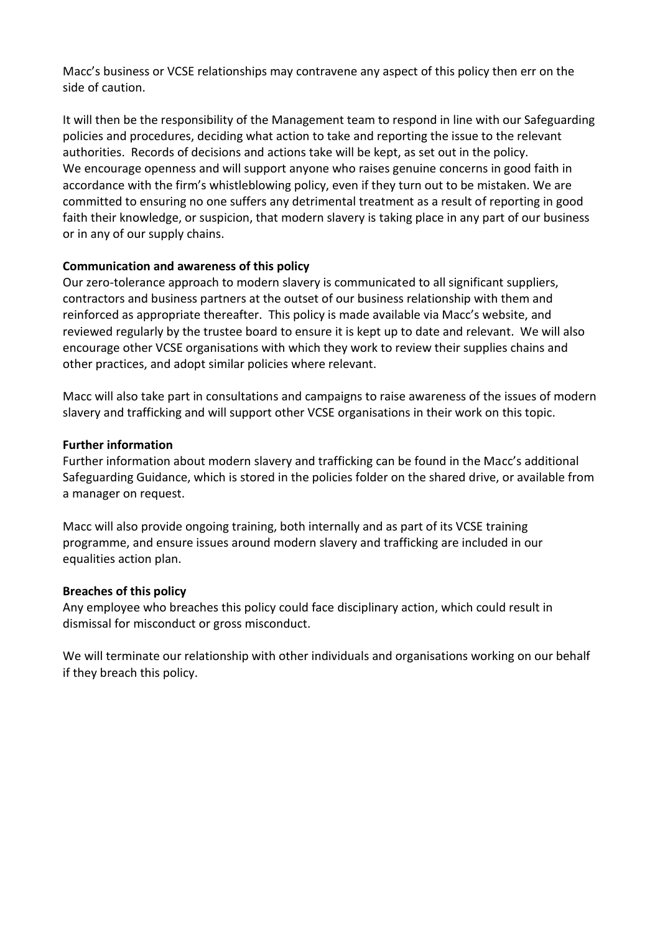Macc's business or VCSE relationships may contravene any aspect of this policy then err on the side of caution.

It will then be the responsibility of the Management team to respond in line with our Safeguarding policies and procedures, deciding what action to take and reporting the issue to the relevant authorities. Records of decisions and actions take will be kept, as set out in the policy. We encourage openness and will support anyone who raises genuine concerns in good faith in accordance with the firm's whistleblowing policy, even if they turn out to be mistaken. We are committed to ensuring no one suffers any detrimental treatment as a result of reporting in good faith their knowledge, or suspicion, that modern slavery is taking place in any part of our business or in any of our supply chains.

### **Communication and awareness of this policy**

Our zero-tolerance approach to modern slavery is communicated to all significant suppliers, contractors and business partners at the outset of our business relationship with them and reinforced as appropriate thereafter. This policy is made available via Macc's website, and reviewed regularly by the trustee board to ensure it is kept up to date and relevant. We will also encourage other VCSE organisations with which they work to review their supplies chains and other practices, and adopt similar policies where relevant.

Macc will also take part in consultations and campaigns to raise awareness of the issues of modern slavery and trafficking and will support other VCSE organisations in their work on this topic.

#### **Further information**

Further information about modern slavery and trafficking can be found in the Macc's additional Safeguarding Guidance, which is stored in the policies folder on the shared drive, or available from a manager on request.

Macc will also provide ongoing training, both internally and as part of its VCSE training programme, and ensure issues around modern slavery and trafficking are included in our equalities action plan.

#### **Breaches of this policy**

Any employee who breaches this policy could face disciplinary action, which could result in dismissal for misconduct or gross misconduct.

We will terminate our relationship with other individuals and organisations working on our behalf if they breach this policy.